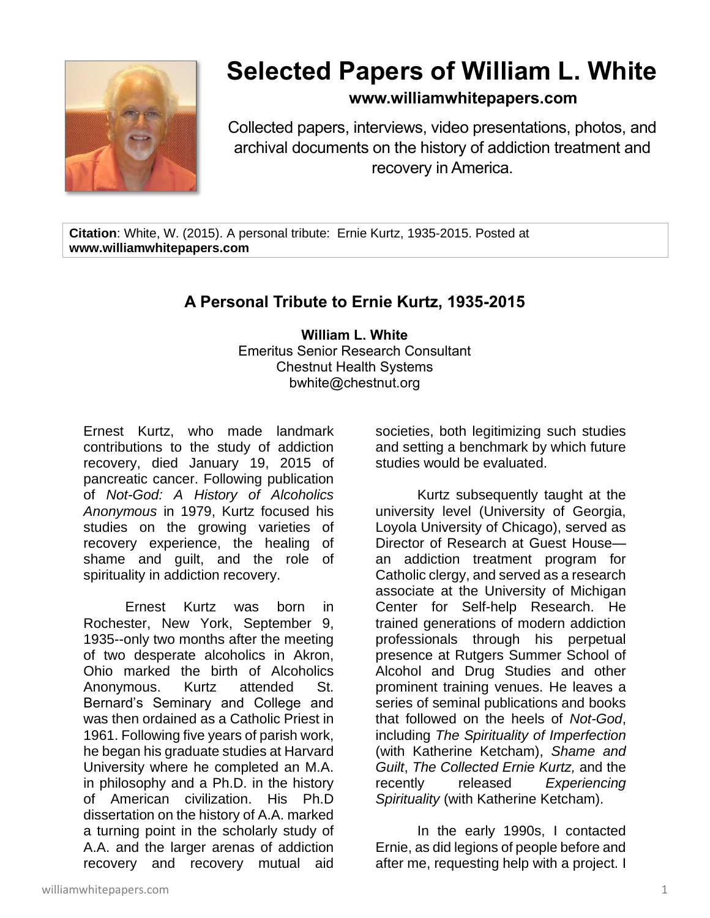

## **Selected Papers of William L. White**

## **www.williamwhitepapers.com**

Collected papers, interviews, video presentations, photos, and archival documents on the history of addiction treatment and recovery in America.

**Citation**: White, W. (2015). A personal tribute: Ernie Kurtz, 1935-2015. Posted at **www.williamwhitepapers.com**

## **A Personal Tribute to Ernie Kurtz, 1935-2015**

**William L. White** Emeritus Senior Research Consultant Chestnut Health Systems bwhite@chestnut.org

Ernest Kurtz, who made landmark contributions to the study of addiction recovery, died January 19, 2015 of pancreatic cancer. Following publication of *Not-God: A History of Alcoholics Anonymous* in 1979, Kurtz focused his studies on the growing varieties of recovery experience, the healing of shame and guilt, and the role of spirituality in addiction recovery.

Ernest Kurtz was born in Rochester, New York, September 9, 1935--only two months after the meeting of two desperate alcoholics in Akron, Ohio marked the birth of Alcoholics Anonymous. Kurtz attended St. Bernard's Seminary and College and was then ordained as a Catholic Priest in 1961. Following five years of parish work, he began his graduate studies at Harvard University where he completed an M.A. in philosophy and a Ph.D. in the history of American civilization. His Ph.D dissertation on the history of A.A. marked a turning point in the scholarly study of A.A. and the larger arenas of addiction recovery and recovery mutual aid societies, both legitimizing such studies and setting a benchmark by which future studies would be evaluated.

Kurtz subsequently taught at the university level (University of Georgia, Loyola University of Chicago), served as Director of Research at Guest House an addiction treatment program for Catholic clergy, and served as a research associate at the University of Michigan Center for Self-help Research. He trained generations of modern addiction professionals through his perpetual presence at Rutgers Summer School of Alcohol and Drug Studies and other prominent training venues. He leaves a series of seminal publications and books that followed on the heels of *Not-God*, including *The Spirituality of Imperfection* (with Katherine Ketcham), *Shame and Guilt*, *The Collected Ernie Kurtz,* and the recently released *Experiencing Spirituality* (with Katherine Ketcham).

In the early 1990s, I contacted Ernie, as did legions of people before and after me, requesting help with a project. I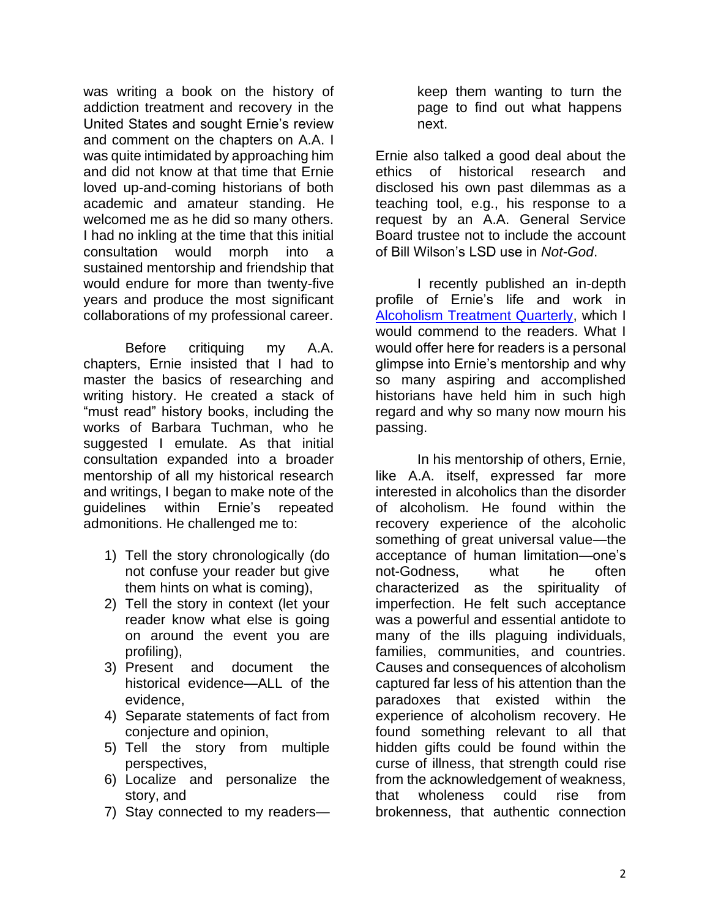was writing a book on the history of addiction treatment and recovery in the United States and sought Ernie's review and comment on the chapters on A.A. I was quite intimidated by approaching him and did not know at that time that Ernie loved up-and-coming historians of both academic and amateur standing. He welcomed me as he did so many others. I had no inkling at the time that this initial consultation would morph into a sustained mentorship and friendship that would endure for more than twenty-five years and produce the most significant collaborations of my professional career.

Before critiquing my A.A. chapters, Ernie insisted that I had to master the basics of researching and writing history. He created a stack of "must read" history books, including the works of Barbara Tuchman, who he suggested I emulate. As that initial consultation expanded into a broader mentorship of all my historical research and writings, I began to make note of the guidelines within Ernie's repeated admonitions. He challenged me to:

- 1) Tell the story chronologically (do not confuse your reader but give them hints on what is coming),
- 2) Tell the story in context (let your reader know what else is going on around the event you are profiling),
- 3) Present and document the historical evidence—ALL of the evidence,
- 4) Separate statements of fact from conjecture and opinion,
- 5) Tell the story from multiple perspectives,
- 6) Localize and personalize the story, and
- 7) Stay connected to my readers—

keep them wanting to turn the page to find out what happens next.

Ernie also talked a good deal about the ethics of historical research and disclosed his own past dilemmas as a teaching tool, e.g., his response to a request by an A.A. General Service Board trustee not to include the account of Bill Wilson's LSD use in *Not-God*.

I recently published an in-depth profile of Ernie's life and work in [Alcoholism Treatment Quarterly,](http://www.tandfonline.com/doi/pdf/10.1080/07347324.2014.949123) which I would commend to the readers. What I would offer here for readers is a personal glimpse into Ernie's mentorship and why so many aspiring and accomplished historians have held him in such high regard and why so many now mourn his passing.

In his mentorship of others, Ernie, like A.A. itself, expressed far more interested in alcoholics than the disorder of alcoholism. He found within the recovery experience of the alcoholic something of great universal value—the acceptance of human limitation—one's not-Godness, what he often characterized as the spirituality of imperfection. He felt such acceptance was a powerful and essential antidote to many of the ills plaguing individuals, families, communities, and countries. Causes and consequences of alcoholism captured far less of his attention than the paradoxes that existed within the experience of alcoholism recovery. He found something relevant to all that hidden gifts could be found within the curse of illness, that strength could rise from the acknowledgement of weakness, that wholeness could rise from brokenness, that authentic connection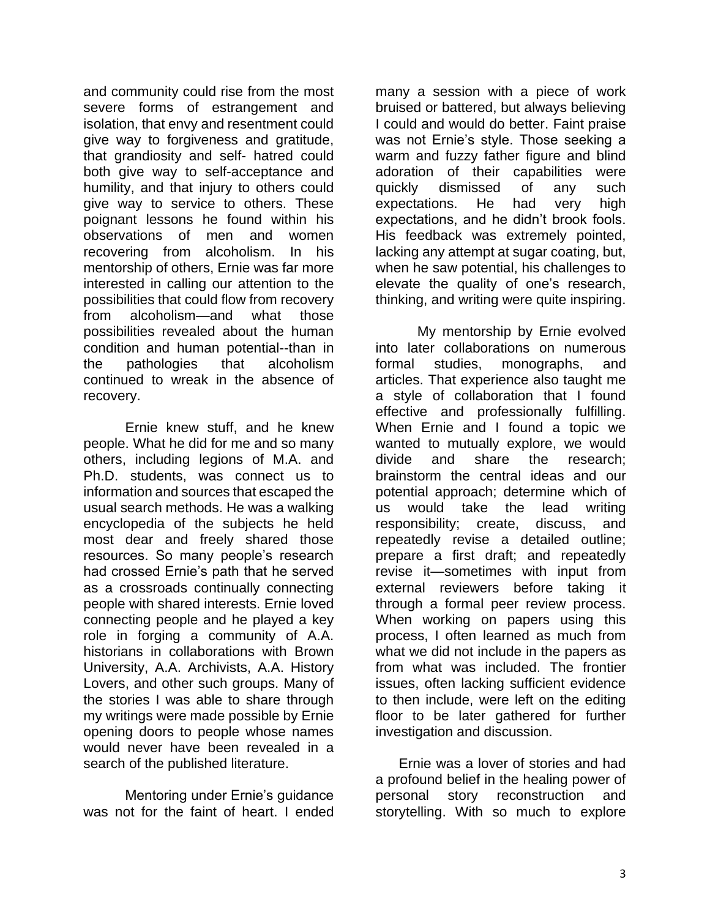and community could rise from the most severe forms of estrangement and isolation, that envy and resentment could give way to forgiveness and gratitude, that grandiosity and self- hatred could both give way to self-acceptance and humility, and that injury to others could give way to service to others. These poignant lessons he found within his observations of men and women recovering from alcoholism. In his mentorship of others, Ernie was far more interested in calling our attention to the possibilities that could flow from recovery from alcoholism—and what those possibilities revealed about the human condition and human potential--than in the pathologies that alcoholism continued to wreak in the absence of recovery.

Ernie knew stuff, and he knew people. What he did for me and so many others, including legions of M.A. and Ph.D. students, was connect us to information and sources that escaped the usual search methods. He was a walking encyclopedia of the subjects he held most dear and freely shared those resources. So many people's research had crossed Ernie's path that he served as a crossroads continually connecting people with shared interests. Ernie loved connecting people and he played a key role in forging a community of A.A. historians in collaborations with Brown University, A.A. Archivists, A.A. History Lovers, and other such groups. Many of the stories I was able to share through my writings were made possible by Ernie opening doors to people whose names would never have been revealed in a search of the published literature.

Mentoring under Ernie's guidance was not for the faint of heart. I ended many a session with a piece of work bruised or battered, but always believing I could and would do better. Faint praise was not Ernie's style. Those seeking a warm and fuzzy father figure and blind adoration of their capabilities were quickly dismissed of any such expectations. He had very high expectations, and he didn't brook fools. His feedback was extremely pointed, lacking any attempt at sugar coating, but, when he saw potential, his challenges to elevate the quality of one's research, thinking, and writing were quite inspiring.

My mentorship by Ernie evolved into later collaborations on numerous formal studies, monographs, and articles. That experience also taught me a style of collaboration that I found effective and professionally fulfilling. When Ernie and I found a topic we wanted to mutually explore, we would divide and share the research; brainstorm the central ideas and our potential approach; determine which of us would take the lead writing responsibility; create, discuss, and repeatedly revise a detailed outline; prepare a first draft; and repeatedly revise it—sometimes with input from external reviewers before taking it through a formal peer review process. When working on papers using this process, I often learned as much from what we did not include in the papers as from what was included. The frontier issues, often lacking sufficient evidence to then include, were left on the editing floor to be later gathered for further investigation and discussion.

 Ernie was a lover of stories and had a profound belief in the healing power of personal story reconstruction and storytelling. With so much to explore